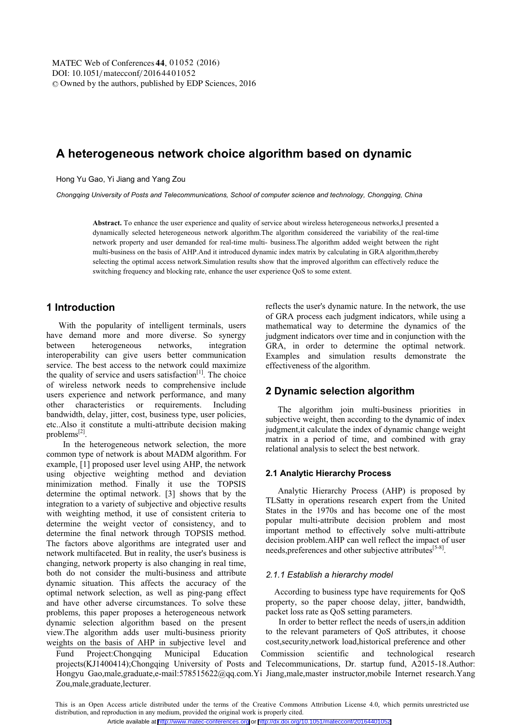# **A heterogeneous network choice algorithm based on dynamic**

Hong Yu Gao, Yi Jiang and Yang Zou

*Chongqing University of Posts and Telecommunications, School of computer science and technology, Chongqing, China* 

**Abstract.** To enhance the user experience and quality of service about wireless heterogeneous networks,I presented a dynamically selected heterogeneous network algorithm.The algorithm considereed the variability of the real-time network property and user demanded for real-time multi- business.The algorithm added weight between the right multi-business on the basis of AHP.And it introduced dynamic index matrix by calculating in GRA algorithm,thereby selecting the optimal access network.Simulation results show that the improved algorithm can effectively reduce the switching frequency and blocking rate, enhance the user experience QoS to some extent.

## **1 Introduction**

With the popularity of intelligent terminals, users have demand more and more diverse. So synergy between heterogeneous networks, integration interoperability can give users better communication service. The best access to the network could maximize the quality of service and users satisfaction<sup>[1]</sup>. The choice of wireless network needs to comprehensive include users experience and network performance, and many other characteristics or requirements. Including bandwidth, delay, jitter, cost, business type, user policies, etc..Also it constitute a multi-attribute decision making problems[2].

 In the heterogeneous network selection, the more common type of network is about MADM algorithm. For example, [1] proposed user level using AHP, the network using objective weighting method and deviation minimization method. Finally it use the TOPSIS determine the optimal network. [3] shows that by the integration to a variety of subjective and objective results with weighting method, it use of consistent criteria to determine the weight vector of consistency, and to determine the final network through TOPSIS method. The factors above algorithms are integrated user and network multifaceted. But in reality, the user's business is changing, network property is also changing in real time, both do not consider the multi-business and attribute dynamic situation. This affects the accuracy of the optimal network selection, as well as ping-pang effect and have other adverse circumstances. To solve these problems, this paper proposes a heterogeneous network dynamic selection algorithm based on the present view.The algorithm adds user multi-business priority weights on the basis of AHP in subjective level and

reflects the user's dynamic nature. In the network, the use of GRA process each judgment indicators, while using a mathematical way to determine the dynamics of the judgment indicators over time and in conjunction with the GRA, in order to determine the optimal network. Examples and simulation results demonstrate the effectiveness of the algorithm.

## **2 Dynamic selection algorithm**

The algorithm join multi-business priorities in subjective weight, then according to the dynamic of index judgment,it calculate the index of dynamic change weight matrix in a period of time, and combined with gray relational analysis to select the best network.

#### **2.1 Analytic Hierarchy Process**

Analytic Hierarchy Process (AHP) is proposed by TLSatty in operations research expert from the United States in the 1970s and has become one of the most popular multi-attribute decision problem and most important method to effectively solve multi-attribute decision problem.AHP can well reflect the impact of user needs, preferences and other subjective attributes<sup>[5-8]</sup>.

#### *2.1.1 Establish a hierarchy model*

According to business type have requirements for QoS property, so the paper choose delay, jitter, bandwidth, packet loss rate as QoS setting parameters.

 In order to better reflect the needs of users,in addition to the relevant parameters of QoS attributes, it choose cost,security,network load,historical preference and other

Fund Project:Chongqing Municipal Education Commission scientific and technological research projects(KJ1400414);Chongqing University of Posts and Telecommunications, Dr. startup fund, A2015-18.Author: Hongyu Gao,male,graduate,e-mail:578515622@qq.com.Yi Jiang,male,master instructor,mobile Internet research.Yang Zou,male,graduate,lecturer.

This is an Open Access article distributed under the terms of the Creative Commons Attribution License 4.0, which permits unrestricted use distribution, and reproduction in any medium, provided the original work is properly cited.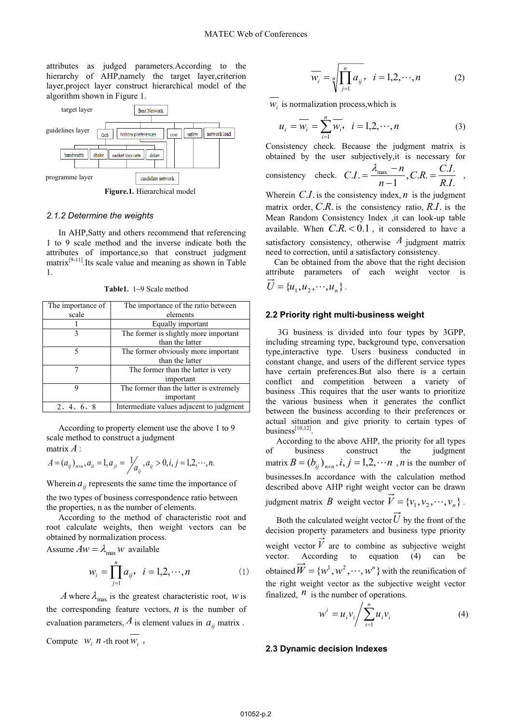attributes as judged parameters.According to the hierarchy of AHP,namely the target layer, criterion layer,project layer construct hierarchical model of the algorithm shown in Figure 1.



**Figure.1.** Hierarchical model

#### *2.1.2 Determine the weights*

In AHP,Satty and others recommend that referencing 1 to 9 scale method and the inverse indicate both the attributes of importance,so that construct judgment matrix[9-11].Its scale value and meaning as shown in Table 1.

**Table1.** 1~9 Scale method

| The importance of | The importance of the ratio between      |  |  |  |
|-------------------|------------------------------------------|--|--|--|
|                   |                                          |  |  |  |
| scale             | elements                                 |  |  |  |
|                   | Equally important                        |  |  |  |
| ٦                 | The former is slightly more important    |  |  |  |
|                   | than the latter                          |  |  |  |
| 5                 | The former obviously more important      |  |  |  |
|                   | than the latter                          |  |  |  |
|                   | The former than the latter is very       |  |  |  |
|                   | important                                |  |  |  |
| 9                 | The former than the latter is extremely  |  |  |  |
|                   | important                                |  |  |  |
| 2, 4, 6, 8        | Intermediate values adjacent to judgment |  |  |  |

According to property element use the above 1 to 9 scale method to construct a judgment matrix *A* :

$$
A = (a_{ij})_{n \times n}, a_{ii} = 1, a_{ji} = \frac{1}{a_{ij}}, a_{ij} > 0, i, j = 1, 2, \cdots, n.
$$

Wherein  $a_{ij}$  represents the same time the importance of

the two types of business correspondence ratio between the properties, n as the number of elements.

According to the method of characteristic root and root calculate weights, then weight vectors can be obtained by normalization process.

Assume 
$$
\overrightarrow{Aw} = \lambda_{\text{max}} w
$$
 available

$$
w_i = \prod_{j=1}^n a_{ij}, \quad i = 1, 2, \cdots, n
$$
 (1)

*A* where  $\lambda_{\text{max}}$  is the greatest characteristic root, *w* is the corresponding feature vectors,  $n$  is the number of evaluation parameters,  $\hat{A}$  is element values in  $a_{ij}$  matrix.

Compute  $W_i$  *n* -th root  $W_i$ ,

$$
\overline{w_i} = \sqrt[n]{\prod_{j=1}^{n} a_{ij}}, \quad i = 1, 2, \cdots, n
$$
 (2)

 $w_i$  is normalization process, which is

$$
u_i = \overline{w_i} = \sum_{i=1}^{n} \overline{w_i}, \quad i = 1, 2, \cdots, n
$$
 (3)

Consistency check. Because the judgment matrix is obtained by the user subjectively,it is necessary for

consistency check. 
$$
CI = \frac{\lambda_{\text{max}} - n}{n - 1}
$$
,  $CR = \frac{C.I}{R.I}$ ,

Wherein  $C.I.$  is the consistency index, *n* is the judgment matrix order, *C*.*R*. is the consistency ratio, *R*.*I*. is the Mean Random Consistency Index ,it can look-up table available. When  $C.R. < 0.1$ , it considered to have a satisfactory consistency, otherwise  $A$  judgment matrix need to correction, until a satisfactory consistency.

Can be obtained from the above that the right decision attribute parameters of each weight vector is  $\vec{U} = \{u_1, u_2, \cdots, u_n\}.$ 

#### **2.2 Priority right multi-business weight**

3G business is divided into four types by 3GPP, including streaming type, background type, conversation type,interactive type. Users business conducted in constant change, and users of the different service types have certain preferences.But also there is a certain conflict and competition between a variety of business .This requires that the user wants to prioritize the various business when it generates the conflict between the business according to their preferences or actual situation and give priority to certain types of business $^{[10,12]}$ 

 According to the above AHP, the priority for all types of business construct the judgment matrix  $B = (b_{ij})_{n \times n}$ ,  $i, j = 1, 2, \dots n$ , *n* is the number of businesses.In accordance with the calculation method described above AHP right weight vector can be drawn judgment matrix *B* weight vector  $\vec{V} = \{v_1, v_2, \dots, v_n\}$ .

 Both the calculated weight vector*U* by the front of the decision property parameters and business type priority weight vector  $V$  are to combine as subjective weight vector. According to equation (4) can be obtained  $\vec{W} = \{w^1, w^2, \dots, w^n\}$  with the reunification of the right weight vector as the subjective weight vector finalized,  $<sup>n</sup>$  is the number of operations.</sup>

$$
w^{i} = u_{i}v_{i} / \sum_{i=1}^{n} u_{i}v_{i}
$$
 (4)

#### **2.3 Dynamic decision Indexes**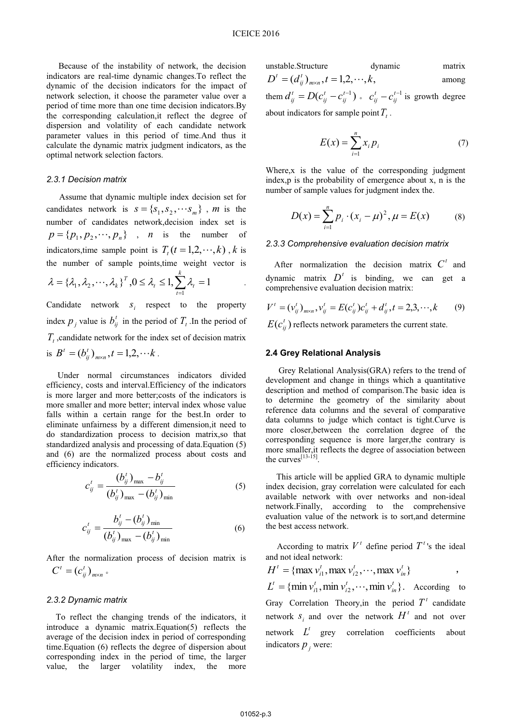Because of the instability of network, the decision indicators are real-time dynamic changes.To reflect the dynamic of the decision indicators for the impact of network selection, it choose the parameter value over a period of time more than one time decision indicators.By the corresponding calculation,it reflect the degree of dispersion and volatility of each candidate network parameter values in this period of time.And thus it calculate the dynamic matrix judgment indicators, as the optimal network selection factors.

#### *2.3.1 Decision matrix*

Assume that dynamic multiple index decision set for candidates network is  $s = \{s_1, s_2, \dots s_m\}$ , *m* is the number of candidates network,decision index set is  $p = \{p_1, p_2, \dots, p_n\}$ , *n* is the number of indicators,time sample point is  $T_t(t=1,2,\dots,k)$ , *k* is the number of sample points,time weight vector is *k*

$$
\lambda = {\lambda_1, \lambda_2, \cdots, \lambda_k}^T, 0 \leq \lambda_t \leq 1, \sum_{t=1}^T \lambda_t = 1
$$

Candidate network  $s_i$  respect to the property index  $p_i$  value is  $b_i^t$  in the period of  $T_t$ . In the period of  $T<sub>t</sub>$ , candidate network for the index set of decision matrix is  $B^t = (b_{ii}^t)_{m \times n}$ ,  $t = 1, 2, \dots k$  $t' = (b_{ij}^t)_{m \times n}, t = 1,2,\cdots k$ .

Under normal circumstances indicators divided efficiency, costs and interval.Efficiency of the indicators is more larger and more better;costs of the indicators is more smaller and more better; interval index whose value falls within a certain range for the best.In order to eliminate unfairness by a different dimension,it need to do standardization process to decision matrix,so that standardized analysis and processing of data.Equation (5) and (6) are the normalized process about costs and efficiency indicators.

$$
c_{ij}^{t} = \frac{(b_{ij}^{t})_{\max} - b_{ij}^{t}}{(b_{ij}^{t})_{\max} - (b_{ij}^{t})_{\min}}
$$
 (5)

$$
c_{ij}^t = \frac{b_{ij}^t - (b_{ij}^t)_{\min}}{(b_{ij}^t)_{\max} - (b_{ij}^t)_{\min}}
$$
 (6)

After the normalization process of decision matrix is  $m \times n$ *t*  $C^t = (c_{ij}^t)_{m \times n}$  .

#### *2.3.2 Dynamic matrix*

To reflect the changing trends of the indicators, it introduce a dynamic matrix.Equation(5) reflects the average of the decision index in period of corresponding time.Equation (6) reflects the degree of dispersion about corresponding index in the period of time, the larger value, the larger volatility index, the

unstable. Structure dynamic matrix 
$$
D^t = (d_{ij}^t)_{m \times n}, t = 1, 2, \cdots, k,
$$
 among

them  $d_{ij}^t = D(c_{ij}^t - c_{ij}^{t-1})$ *t ij*  $d_{ij}^t = D(c_{ij}^t - c_{ij}^{t-1}) \circ c_{ij}^t - c_{ij}^{t-1}$  $c_{ii}^t - c_{ii}^{t-1}$  is growth degree about indicators for sample point  $T_t$ .

$$
E(x) = \sum_{i=1}^{n} x_i p_i
$$
 (7)

Where,x is the value of the corresponding judgment index,p is the probability of emergence about x, n is the number of sample values for judgment index the.

$$
D(x) = \sum_{i=1}^{n} p_i \cdot (x_i - \mu)^2, \mu = E(x)
$$
 (8)

#### *2.3.3 Comprehensive evaluation decision matrix*

After normalization the decision matrix  $C<sup>t</sup>$  and dynamic matrix  $D<sup>t</sup>$  is binding, we can get a comprehensive evaluation decision matrix:

$$
V^{t} = (v_{ij}^{t})_{m \times n}, v_{ij}^{t} = E(c_{ij}^{t})c_{ij}^{t} + d_{ij}^{t}, t = 2, 3, \cdots, k
$$
 (9)

 $E(c_{ii}^t)$  reflects network parameters the current state.

#### **2.4 Grey Relational Analysis**

 Grey Relational Analysis(GRA) refers to the trend of development and change in things which a quantitative description and method of comparison.The basic idea is to determine the geometry of the similarity about reference data columns and the several of comparative data columns to judge which contact is tight.Curve is more closer,between the correlation degree of the corresponding sequence is more larger,the contrary is more smaller,it reflects the degree of association between the curves<sup> $[13-15]$ </sup>

 This article will be applied GRA to dynamic multiple index decision, gray correlation were calculated for each available network with over networks and non-ideal network.Finally, according to the comprehensive evaluation value of the network is to sort,and determine the best access network.

According to matrix  $V^t$  define period  $T^t$ 's the ideal and not ideal network:

 $\{\max v_{i1}^t, \max v_{i2}^t, \cdots, \max v_{in}^t\}$ *in t i t*  $H^t = \{ \max v_{i1}^t, \max v_{i2}^t, \cdots, \max v_{in}^t \}$ ,  $\{\min v_{i1}^t, \min v_{i2}^t, \cdots, \min v_{in}^t\}.$ *in t i t*  $L^t = \{\min v_{i1}^t, \min v_{i2}^t, \cdots, \min v_{in}^t\}.$  According to Gray Correlation Theory, in the period  $T<sup>t</sup>$  candidate network  $s_i$  and over the network  $H^t$  and not over network  $L^t$  grey correlation coefficients about indicators  $p_i$  were: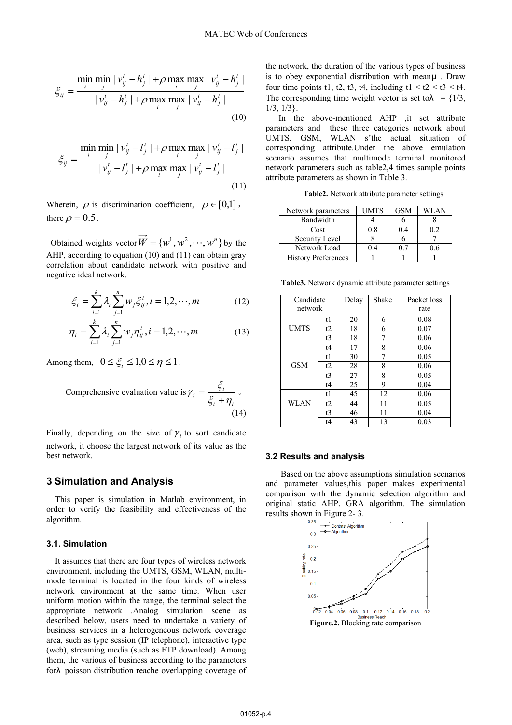$$
\xi_{ij} = \frac{\min_{i} \min_{j} |\nu_{ij}^t - h_j^t| + \rho \max_{i} \max_{j} |\nu_{ij}^t - h_j^t|}{|\nu_{ij}^t - h_j^t| + \rho \max_{i} \max_{j} |\nu_{ij}^t - h_j^t|}
$$
\n(10)

$$
\xi_{ij} = \frac{\min_{i} \min_{j} |v_{ij}^t - l_j^t| + \rho \max_{i} \max_{j} |v_{ij}^t - l_j^t|}{|v_{ij}^t - l_j^t| + \rho \max_{i} \max_{j} |v_{ij}^t - l_j^t|}
$$
\n(11)

Wherein,  $\rho$  is discrimination coefficient,  $\rho \in [0,1]$ , there  $\rho = 0.5$ .

Obtained weights vector  $\vec{W} = \{w^1, w^2, \dots, w^n\}$  by the AHP, according to equation (10) and (11) can obtain gray correlation about candidate network with positive and negative ideal network.

$$
\xi_i = \sum_{i=1}^k \lambda_i \sum_{j=1}^n w_j \xi_{ij}^t, i = 1, 2, \cdots, m \tag{12}
$$

$$
\eta_i = \sum_{i=1}^k \lambda_i \sum_{j=1}^n w_j \eta_{ij}^t, i = 1, 2, \cdots, m \tag{13}
$$

Among them,  $0 \leq \xi_i \leq 1, 0 \leq \eta \leq 1$ .

Comprehensive evaluation value is  $i + \eta_i$  $\zeta_i = \frac{\zeta_i}{\zeta_i + \eta}$  $\gamma_i = \frac{\xi_i}{\xi_i + \eta_i}$ .  $(14)$ 

Finally, depending on the size of  $\gamma$  to sort candidate network, it choose the largest network of its value as the best network.

#### **3 Simulation and Analysis**

 This paper is simulation in Matlab environment, in order to verify the feasibility and effectiveness of the algorithm.

#### **3.1. Simulation**

 It assumes that there are four types of wireless network environment, including the UMTS, GSM, WLAN, multimode terminal is located in the four kinds of wireless network environment at the same time. When user uniform motion within the range, the terminal select the appropriate network .Analog simulation scene as described below, users need to undertake a variety of business services in a heterogeneous network coverage area, such as type session (IP telephone), interactive type (web), streaming media (such as FTP download). Among them, the various of business according to the parameters forλ poisson distribution reache overlapping coverage of

the network, the duration of the various types of business is to obey exponential distribution with meanμ . Draw four time points t1, t2, t3, t4, including t1 < t2 < t3 < t4. The corresponding time weight vector is set to  $\lambda = \{1/3, \dots, n\}$ 1/3, 1/3}.

 In the above-mentioned AHP ,it set attribute parameters and these three categories network about UMTS, GSM, WLAN s'the actual situation of corresponding attribute.Under the above emulation scenario assumes that multimode terminal monitored network parameters such as table2,4 times sample points attribute parameters as shown in Table 3.

**Table2.** Network attribute parameter settings

| Network parameters         | UMTS | GSM | WLAN |
|----------------------------|------|-----|------|
| Bandwidth                  |      |     |      |
| Cost                       | 0.8  | 0.4 |      |
| Security Level             |      |     |      |
| Network Load               | 04   | 07  |      |
| <b>History Preferences</b> |      |     |      |

**Table3.** Network dynamic attribute parameter settings

| Candidate   |                | Delay | Shake | Packet loss |
|-------------|----------------|-------|-------|-------------|
| network     |                |       |       | rate        |
| <b>UMTS</b> | t1             | 20    | 6     | 0.08        |
|             | t2             | 18    | 6     | 0.07        |
|             | t <sub>3</sub> | 18    | 7     | 0.06        |
|             | t4             | 17    | 8     | 0.06        |
| <b>GSM</b>  | t1             | 30    | 7     | 0.05        |
|             | t2             | 28    | 8     | 0.06        |
|             | t <sub>3</sub> | 27    | 8     | 0.05        |
|             | t4             | 25    | 9     | 0.04        |
| WLAN        | t1             | 45    | 12    | 0.06        |
|             | t2             | 44    | 11    | 0.05        |
|             | t3             | 46    | 11    | 0.04        |
|             | t4             | 43    | 13    | 0.03        |

#### **3.2 Results and analysis**

 Based on the above assumptions simulation scenarios and parameter values,this paper makes experimental comparison with the dynamic selection algorithm and original static AHP, GRA algorithm. The simulation results shown in Figure 2- 3.